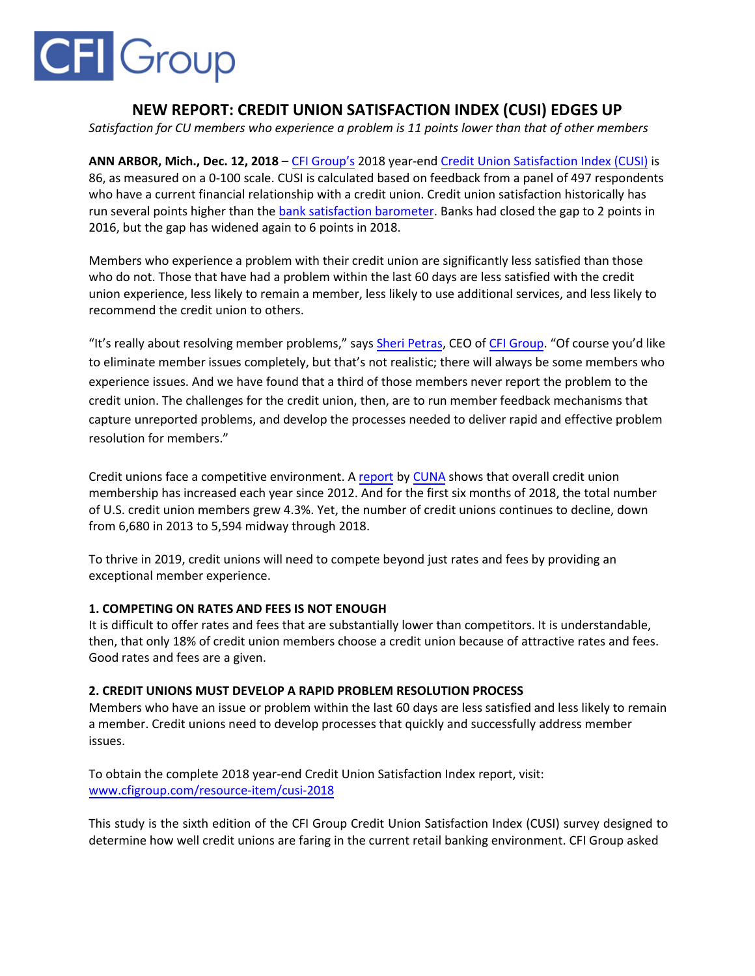# **CFI** Group

# **NEW REPORT: CREDIT UNION SATISFACTION INDEX (CUSI) EDGES UP**

*Satisfaction for CU members who experience a problem is 11 points lower than that of other members*

**ANN ARBOR, Mich., Dec. 12, 2018** – [CFI Group's](https://cfigroup.com/?utm_campaign=cusi&utm_medium=release&utm_content=top) 2018 year-end [Credit Union Satisfaction Index \(CUSI\)](https://cfigroup.com/resource-item/cusi-2018?utm_campaign=cusi&utm_medium=release&utm_content=top) is 86, as measured on a 0-100 scale. CUSI is calculated based on feedback from a panel of 497 respondents who have a current financial relationship with a credit union. Credit union satisfaction historically has run several points higher than the [bank satisfaction barometer.](https://cfigroup.com/resource-item/bank-satisfaction-2017?utm_campaign=cusi&utm_medium=release&utm_content=bsb) Banks had closed the gap to 2 points in 2016, but the gap has widened again to 6 points in 2018.

Members who experience a problem with their credit union are significantly less satisfied than those who do not. Those that have had a problem within the last 60 days are less satisfied with the credit union experience, less likely to remain a member, less likely to use additional services, and less likely to recommend the credit union to others.

"It's really about resolving member problems," says [Sheri Petras,](https://www.linkedin.com/in/sheri-petras-186542/) CEO of [CFI Group.](https://cfigroup.com/?utm_campaign=cusi&utm_medium=release&utm_content=cfigroup) "Of course you'd like to eliminate member issues completely, but that's not realistic; there will always be some members who experience issues. And we have found that a third of those members never report the problem to the credit union. The challenges for the credit union, then, are to run member feedback mechanisms that capture unreported problems, and develop the processes needed to deliver rapid and effective problem resolution for members."

Credit unions face a competitive environment. A [report](https://www.cuna.org/About-Credit-Unions/Credit-Union-Data---Statistics/) by [CUNA](https://www.cuna.org/) shows that overall credit union membership has increased each year since 2012. And for the first six months of 2018, the total number of U.S. credit union members grew 4.3%. Yet, the number of credit unions continues to decline, down from 6,680 in 2013 to 5,594 midway through 2018.

To thrive in 2019, credit unions will need to compete beyond just rates and fees by providing an exceptional member experience.

## **1. COMPETING ON RATES AND FEES IS NOT ENOUGH**

It is difficult to offer rates and fees that are substantially lower than competitors. It is understandable, then, that only 18% of credit union members choose a credit union because of attractive rates and fees. Good rates and fees are a given.

### **2. CREDIT UNIONS MUST DEVELOP A RAPID PROBLEM RESOLUTION PROCESS**

Members who have an issue or problem within the last 60 days are less satisfied and less likely to remain a member. Credit unions need to develop processes that quickly and successfully address member issues.

To obtain the complete 2018 year-end Credit Union Satisfaction Index report, visit: www.cfigroup.com/resource-item/cusi-2018

This study is the sixth edition of the CFI Group Credit Union Satisfaction Index (CUSI) survey designed to determine how well credit unions are faring in the current retail banking environment. CFI Group asked